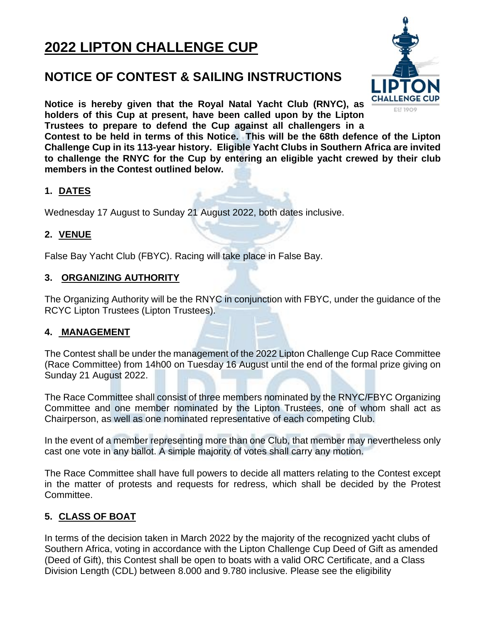# **2022 LIPTON CHALLENGE CUP**

## **NOTICE OF CONTEST & SAILING INSTRUCTIONS**

**Notice is hereby given that the Royal Natal Yacht Club (RNYC), as holders of this Cup at present, have been called upon by the Lipton Trustees to prepare to defend the Cup against all challengers in a**

**Contest to be held in terms of this Notice. This will be the 68th defence of the Lipton Challenge Cup in its 113-year history. Eligible Yacht Clubs in Southern Africa are invited to challenge the RNYC for the Cup by entering an eligible yacht crewed by their club members in the Contest outlined below.**

## **1. DATES**

Wednesday 17 August to Sunday 21 August 2022, both dates inclusive.

#### **2. VENUE**

False Bay Yacht Club (FBYC). Racing will take place in False Bay.

#### **3. ORGANIZING AUTHORITY**

The Organizing Authority will be the RNYC in conjunction with FBYC, under the guidance of the RCYC Lipton Trustees (Lipton Trustees).

#### **4. MANAGEMENT**

The Contest shall be under the management of the 2022 Lipton Challenge Cup Race Committee (Race Committee) from 14h00 on Tuesday 16 August until the end of the formal prize giving on Sunday 21 August 2022.

The Race Committee shall consist of three members nominated by the RNYC/FBYC Organizing Committee and one member nominated by the Lipton Trustees, one of whom shall act as Chairperson, as well as one nominated representative of each competing Club.

In the event of a member representing more than one Club, that member may nevertheless only cast one vote in any ballot. A simple majority of votes shall carry any motion.

The Race Committee shall have full powers to decide all matters relating to the Contest except in the matter of protests and requests for redress, which shall be decided by the Protest Committee.

## **5. CLASS OF BOAT**

In terms of the decision taken in March 2022 by the majority of the recognized yacht clubs of Southern Africa, voting in accordance with the Lipton Challenge Cup Deed of Gift as amended (Deed of Gift), this Contest shall be open to boats with a valid ORC Certificate, and a Class Division Length (CDL) between 8.000 and 9.780 inclusive. Please see the eligibility

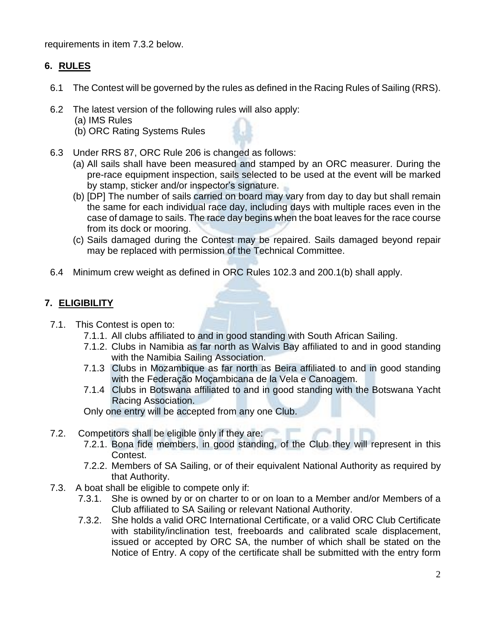requirements in item 7.3.2 below.

## **6. RULES**

- 6.1 The Contest will be governed by the rules as defined in the Racing Rules of Sailing (RRS).
- 6.2 The latest version of the following rules will also apply:
	- (a) IMS Rules
	- (b) ORC Rating Systems Rules
- 6.3 Under RRS 87, ORC Rule 206 is changed as follows:
	- (a) All sails shall have been measured and stamped by an ORC measurer. During the pre-race equipment inspection, sails selected to be used at the event will be marked by stamp, sticker and/or inspector's signature.
	- (b) [DP] The number of sails carried on board may vary from day to day but shall remain the same for each individual race day, including days with multiple races even in the case of damage to sails. The race day begins when the boat leaves for the race course from its dock or mooring.
	- (c) Sails damaged during the Contest may be repaired. Sails damaged beyond repair may be replaced with permission of the Technical Committee.
- 6.4 Minimum crew weight as defined in ORC Rules 102.3 and 200.1(b) shall apply.

## **7. ELIGIBILITY**

- 7.1. This Contest is open to:
	- 7.1.1. All clubs affiliated to and in good standing with South African Sailing.
	- 7.1.2. Clubs in Namibia as far north as Walvis Bay affiliated to and in good standing with the Namibia Sailing Association.
	- 7.1.3 Clubs in Mozambique as far north as Beira affiliated to and in good standing with the Federação Moçambicana de la Vela e Canoagem.
	- 7.1.4 Clubs in Botswana affiliated to and in good standing with the Botswana Yacht Racing Association.

Only one entry will be accepted from any one Club.

- 7.2. Competitors shall be eligible only if they are:
	- 7.2.1. Bona fide members, in good standing, of the Club they will represent in this Contest.
	- 7.2.2. Members of SA Sailing, or of their equivalent National Authority as required by that Authority.
- 7.3. A boat shall be eligible to compete only if:
	- 7.3.1. She is owned by or on charter to or on loan to a Member and/or Members of a Club affiliated to SA Sailing or relevant National Authority.
	- 7.3.2. She holds a valid ORC International Certificate, or a valid ORC Club Certificate with stability/inclination test, freeboards and calibrated scale displacement, issued or accepted by ORC SA, the number of which shall be stated on the Notice of Entry. A copy of the certificate shall be submitted with the entry form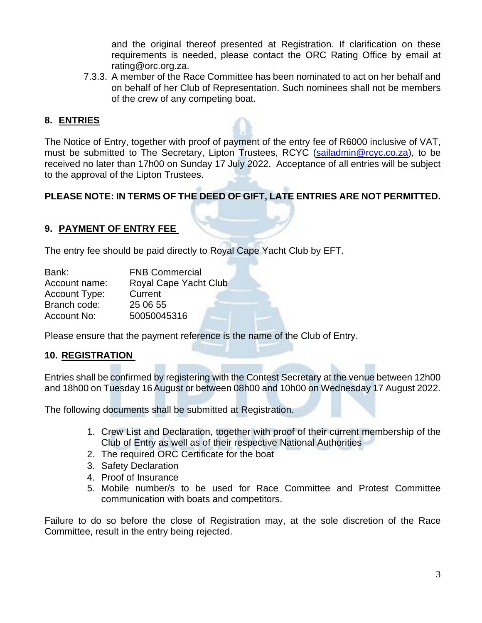and the original thereof presented at Registration. If clarification on these requirements is needed, please contact the ORC Rating Office by email at rating@orc.org.za.

7.3.3. A member of the Race Committee has been nominated to act on her behalf and on behalf of her Club of Representation. Such nominees shall not be members of the crew of any competing boat.

## **8. ENTRIES**

The Notice of Entry, together with proof of payment of the entry fee of R6000 inclusive of VAT, must be submitted to The Secretary, Lipton Trustees, RCYC [\(sailadmin@rcyc.co.za\)](mailto:sailadmin@rcyc.co.za), to be received no later than 17h00 on Sunday 17 July 2022. Acceptance of all entries will be subject to the approval of the Lipton Trustees.

## **PLEASE NOTE: IN TERMS OF THE DEED OF GIFT, LATE ENTRIES ARE NOT PERMITTED.**

#### **9. PAYMENT OF ENTRY FEE**

The entry fee should be paid directly to Royal Cape Yacht Club by EFT.

| Bank:                | <b>FNB Commercial</b> |
|----------------------|-----------------------|
| Account name:        | Royal Cape Yacht Club |
| <b>Account Type:</b> | Current               |
| Branch code:         | 25 06 55              |
| Account No:          | 50050045316           |

Please ensure that the payment reference is the name of the Club of Entry.

#### **10. REGISTRATION**

Entries shall be confirmed by registering with the Contest Secretary at the venue between 12h00 and 18h00 on Tuesday 16August or between 08h00 and 10h00 on Wednesday 17 August 2022.

The following documents shall be submitted at Registration.

- 1. Crew List and Declaration, together with proof of their current membership of the Club of Entry as well as of their respective National Authorities
- 2. The required ORC Certificate for the boat
- 3. Safety Declaration
- 4. Proof of Insurance
- 5. Mobile number/s to be used for Race Committee and Protest Committee communication with boats and competitors.

Failure to do so before the close of Registration may, at the sole discretion of the Race Committee, result in the entry being rejected.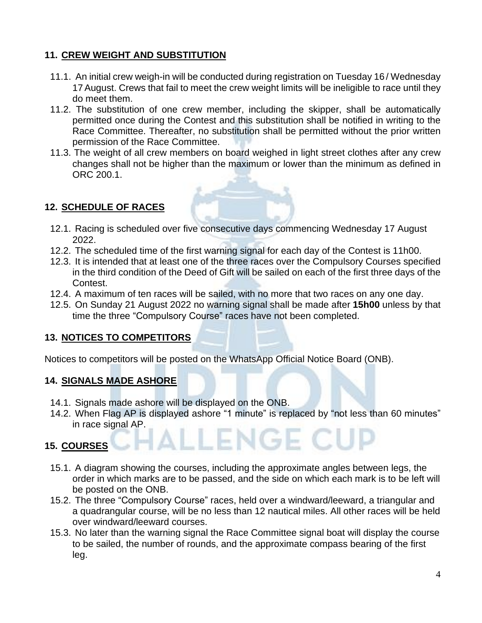## **11. CREW WEIGHT AND SUBSTITUTION**

- 11.1. An initial crew weigh-in will be conducted during registration on Tuesday 16 / Wednesday 17August. Crews that fail to meet the crew weight limits will be ineligible to race until they do meet them.
- 11.2. The substitution of one crew member, including the skipper, shall be automatically permitted once during the Contest and this substitution shall be notified in writing to the Race Committee. Thereafter, no substitution shall be permitted without the prior written permission of the Race Committee.
- 11.3. The weight of all crew members on board weighed in light street clothes after any crew changes shall not be higher than the maximum or lower than the minimum as defined in ORC 200.1.

## **12. SCHEDULE OF RACES**

- 12.1. Racing is scheduled over five consecutive days commencing Wednesday 17 August 2022.
- 12.2. The scheduled time of the first warning signal for each day of the Contest is 11h00.
- 12.3. It is intended that at least one of the three races over the Compulsory Courses specified in the third condition of the Deed of Gift will be sailed on each of the first three days of the Contest.
- 12.4. A maximum of ten races will be sailed, with no more that two races on any one day.
- 12.5. On Sunday 21 August 2022 no warning signal shall be made after **15h00** unless by that time the three "Compulsory Course" races have not been completed.

#### **13. NOTICES TO COMPETITORS**

Notices to competitors will be posted on the WhatsApp Official Notice Board (ONB).

#### **14. SIGNALS MADE ASHORE**

- 14.1. Signals made ashore will be displayed on the ONB.
- 14.2. When Flag AP is displayed ashore "1 minute" is replaced by "not less than 60 minutes" in race signal AP.

## **15. COURSES**

- 15.1. A diagram showing the courses, including the approximate angles between legs, the order in which marks are to be passed, and the side on which each mark is to be left will be posted on the ONB.
- 15.2. The three "Compulsory Course" races, held over a windward/leeward, a triangular and a quadrangular course, will be no less than 12 nautical miles. All other races will be held over windward/leeward courses.
- 15.3. No later than the warning signal the Race Committee signal boat will display the course to be sailed, the number of rounds, and the approximate compass bearing of the first leg.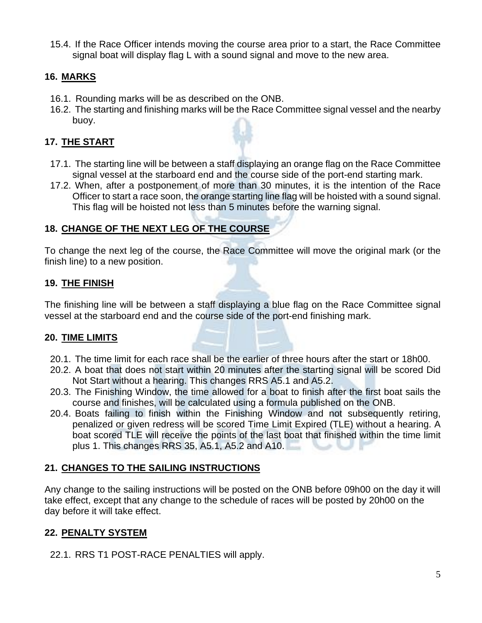15.4. If the Race Officer intends moving the course area prior to a start, the Race Committee signal boat will display flag L with a sound signal and move to the new area.

## **16. MARKS**

- 16.1. Rounding marks will be as described on the ONB.
- 16.2. The starting and finishing marks will be the Race Committee signal vessel and the nearby buoy.

## **17. THE START**

- 17.1. The starting line will be between a staff displaying an orange flag on the Race Committee signal vessel at the starboard end and the course side of the port-end starting mark.
- 17.2. When, after a postponement of more than 30 minutes, it is the intention of the Race Officer to start a race soon, the orange starting line flag will be hoisted with a sound signal. This flag will be hoisted not less than 5 minutes before the warning signal.

## **18. CHANGE OF THE NEXT LEG OF THE COURSE**

To change the next leg of the course, the Race Committee will move the original mark (or the finish line) to a new position.

## **19. THE FINISH**

The finishing line will be between a staff displaying a blue flag on the Race Committee signal vessel at the starboard end and the course side of the port-end finishing mark.

#### **20. TIME LIMITS**

- 20.1. The time limit for each race shall be the earlier of three hours after the start or 18h00.
- 20.2. A boat that does not start within 20 minutes after the starting signal will be scored Did Not Start without a hearing. This changes RRS A5.1 and A5.2.
- 20.3. The Finishing Window, the time allowed for a boat to finish after the first boat sails the course and finishes, will be calculated using a formula published on the ONB.
- 20.4. Boats failing to finish within the Finishing Window and not subsequently retiring, penalized or given redress will be scored Time Limit Expired (TLE) without a hearing. A boat scored TLE will receive the points of the last boat that finished within the time limit plus 1. This changes RRS 35, A5.1, A5.2 and A10.

#### **21. CHANGES TO THE SAILING INSTRUCTIONS**

Any change to the sailing instructions will be posted on the ONB before 09h00 on the day it will take effect, except that any change to the schedule of races will be posted by 20h00 on the day before it will take effect.

#### **22. PENALTY SYSTEM**

22.1. RRS T1 POST-RACE PENALTIES will apply.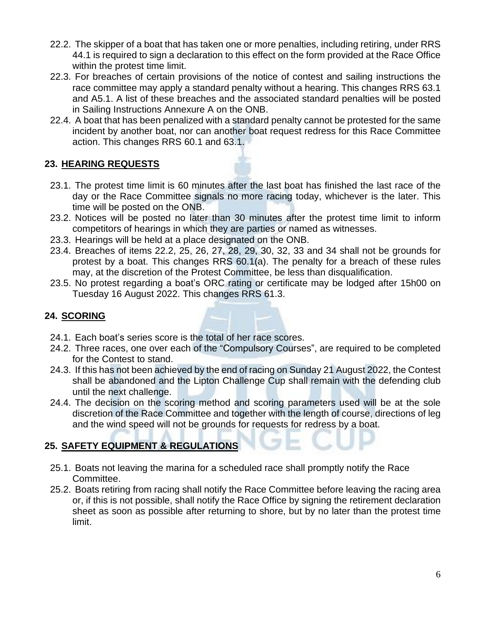- 22.2. The skipper of a boat that has taken one or more penalties, including retiring, under RRS 44.1 is required to sign a declaration to this effect on the form provided at the Race Office within the protest time limit.
- 22.3. For breaches of certain provisions of the notice of contest and sailing instructions the race committee may apply a standard penalty without a hearing. This changes RRS 63.1 and A5.1. A list of these breaches and the associated standard penalties will be posted in Sailing Instructions Annexure A on the ONB.
- 22.4. A boat that has been penalized with a standard penalty cannot be protested for the same incident by another boat, nor can another boat request redress for this Race Committee action. This changes RRS 60.1 and 63.1.

## **23. HEARING REQUESTS**

- 23.1. The protest time limit is 60 minutes after the last boat has finished the last race of the day or the Race Committee signals no more racing today, whichever is the later. This time will be posted on the ONB.
- 23.2. Notices will be posted no later than 30 minutes after the protest time limit to inform competitors of hearings in which they are parties or named as witnesses.
- 23.3. Hearings will be held at a place designated on the ONB.
- 23.4. Breaches of items 22.2, 25, 26, 27, 28, 29, 30, 32, 33 and 34 shall not be grounds for protest by a boat. This changes RRS 60.1(a). The penalty for a breach of these rules may, at the discretion of the Protest Committee, be less than disqualification.
- 23.5. No protest regarding a boat's ORC rating or certificate may be lodged after 15h00 on Tuesday 16 August 2022. This changes RRS 61.3.

## **24. SCORING**

- 24.1. Each boat's series score is the total of her race scores.
- 24.2. Three races, one over each of the "Compulsory Courses", are required to be completed for the Contest to stand.
- 24.3. If this has not been achieved by the end of racing on Sunday 21 August 2022, the Contest shall be abandoned and the Lipton Challenge Cup shall remain with the defending club until the next challenge.
- 24.4. The decision on the scoring method and scoring parameters used will be at the sole discretion of the Race Committee and together with the length of course, directions of leg and the wind speed will not be grounds for requests for redress by a boat.

## **25. SAFETY EQUIPMENT & REGULATIONS**

- 25.1. Boats not leaving the marina for a scheduled race shall promptly notify the Race Committee.
- 25.2. Boats retiring from racing shall notify the Race Committee before leaving the racing area or, if this is not possible, shall notify the Race Office by signing the retirement declaration sheet as soon as possible after returning to shore, but by no later than the protest time limit.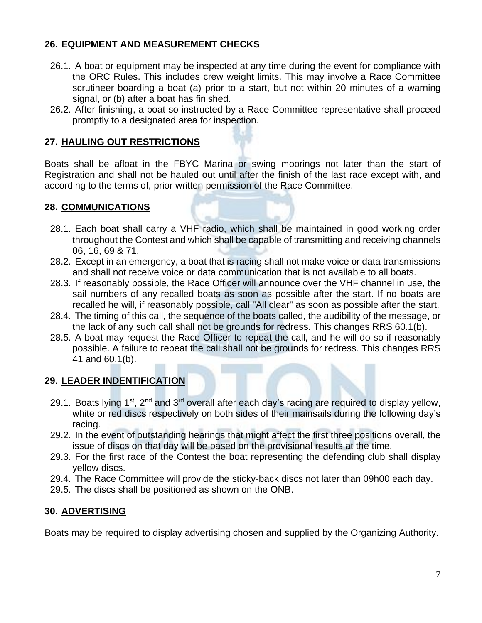## **26. EQUIPMENT AND MEASUREMENT CHECKS**

- 26.1. A boat or equipment may be inspected at any time during the event for compliance with the ORC Rules. This includes crew weight limits. This may involve a Race Committee scrutineer boarding a boat (a) prior to a start, but not within 20 minutes of a warning signal, or (b) after a boat has finished.
- 26.2. After finishing, a boat so instructed by a Race Committee representative shall proceed promptly to a designated area for inspection.

### **27. HAULING OUT RESTRICTIONS**

Boats shall be afloat in the FBYC Marina or swing moorings not later than the start of Registration and shall not be hauled out until after the finish of the last race except with, and according to the terms of, prior written permission of the Race Committee.

#### **28. COMMUNICATIONS**

- 28.1. Each boat shall carry a VHF radio, which shall be maintained in good working order throughout the Contest and which shall be capable of transmitting and receiving channels 06, 16, 69 & 71.
- 28.2. Except in an emergency, a boat that is racing shall not make voice or data transmissions and shall not receive voice or data communication that is not available to all boats.
- 28.3. If reasonably possible, the Race Officer will announce over the VHF channel in use, the sail numbers of any recalled boats as soon as possible after the start. If no boats are recalled he will, if reasonably possible, call "All clear" as soon as possible after the start.
- 28.4. The timing of this call, the sequence of the boats called, the audibility of the message, or the lack of any such call shall not be grounds for redress. This changes RRS 60.1(b).
- 28.5. A boat may request the Race Officer to repeat the call, and he will do so if reasonably possible. A failure to repeat the call shall not be grounds for redress. This changes RRS 41 and 60.1(b).

#### **29. LEADER INDENTIFICATION**

- 29.1. Boats lying 1<sup>st</sup>, 2<sup>nd</sup> and 3<sup>rd</sup> overall after each day's racing are required to display yellow, white or red discs respectively on both sides of their mainsails during the following day's racing.
- 29.2. In the event of outstanding hearings that might affect the first three positions overall, the issue of discs on that day will be based on the provisional results at the time.
- 29.3. For the first race of the Contest the boat representing the defending club shall display yellow discs.
- 29.4. The Race Committee will provide the sticky-back discs not later than 09h00 each day.
- 29.5. The discs shall be positioned as shown on the ONB.

#### **30. ADVERTISING**

Boats may be required to display advertising chosen and supplied by the Organizing Authority.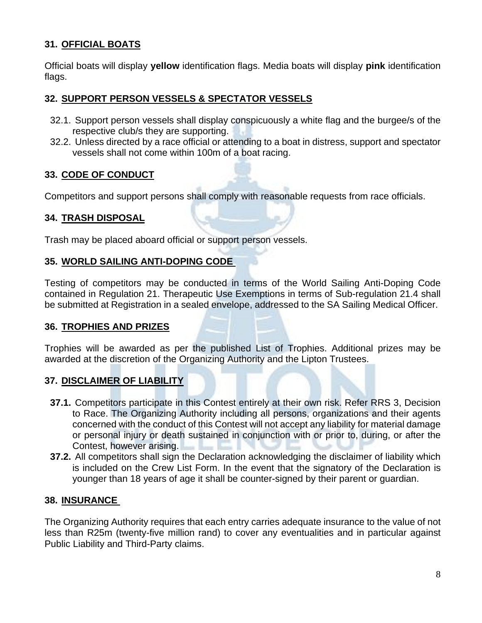## **31. OFFICIAL BOATS**

Official boats will display **yellow** identification flags. Media boats will display **pink** identification flags.

## **32. SUPPORT PERSON VESSELS & SPECTATOR VESSELS**

- 32.1. Support person vessels shall display conspicuously a white flag and the burgee/s of the respective club/s they are supporting.
- 32.2. Unless directed by a race official or attending to a boat in distress, support and spectator vessels shall not come within 100m of a boat racing.

## **33. CODE OF CONDUCT**

Competitors and support persons shall comply with reasonable requests from race officials.

#### **34. TRASH DISPOSAL**

Trash may be placed aboard official or support person vessels.

#### **35. WORLD SAILING ANTI-DOPING CODE**

Testing of competitors may be conducted in terms of the World Sailing Anti-Doping Code contained in Regulation 21. Therapeutic Use Exemptions in terms of Sub-regulation 21.4 shall be submitted at Registration in a sealed envelope, addressed to the SA Sailing Medical Officer.

#### **36. TROPHIES AND PRIZES**

Trophies will be awarded as per the published List of Trophies. Additional prizes may be awarded at the discretion of the Organizing Authority and the Lipton Trustees.

## **37. DISCLAIMER OF LIABILITY**

- **37.1.** Competitors participate in this Contest entirely at their own risk. Refer RRS 3, Decision to Race. The Organizing Authority including all persons, organizations and their agents concerned with the conduct of this Contest will not accept any liability for material damage or personal injury or death sustained in conjunction with or prior to, during, or after the Contest, however arising.
- **37.2.** All competitors shall sign the Declaration acknowledging the disclaimer of liability which is included on the Crew List Form. In the event that the signatory of the Declaration is younger than 18 years of age it shall be counter-signed by their parent or guardian.

#### **38. INSURANCE**

The Organizing Authority requires that each entry carries adequate insurance to the value of not less than R25m (twenty-five million rand) to cover any eventualities and in particular against Public Liability and Third-Party claims.